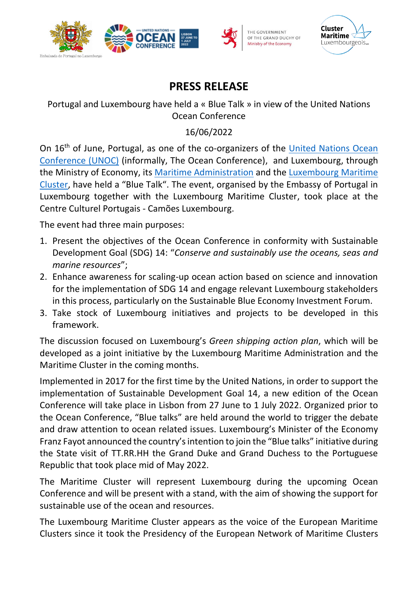





## **PRESS RELEASE**

## Portugal and Luxembourg have held a « Blue Talk » in view of the United Nations Ocean Conference

## 16/06/2022

On 16<sup>th</sup> of June, Portugal, as one of the co-organizers of the United Nations Ocean [Conference](https://www.un.org/en/conferences/ocean2022/about) (UNOC) (informally, The Ocean Conference), and Luxembourg, through the Ministry of Economy, its [Maritime Administration](https://maritime.public.lu/en.html) and the [Luxembourg](https://www.cluster-maritime.lu/) Maritime [Cluster](https://www.cluster-maritime.lu/), have held a "Blue Talk". The event, organised by the Embassy of Portugal in Luxembourg together with the Luxembourg Maritime Cluster, took place at the Centre Culturel Portugais - Camões Luxembourg.

The event had three main purposes:

- 1. Present the objectives of the Ocean Conference in conformity with Sustainable Development Goal (SDG) 14: "*Conserve and sustainably use the oceans, seas and marine resources*";
- 2. Enhance awareness for scaling-up ocean action based on science and innovation for the implementation of SDG 14 and engage relevant Luxembourg stakeholders in this process, particularly on the Sustainable Blue Economy Investment Forum.
- 3. Take stock of Luxembourg initiatives and projects to be developed in this framework.

The discussion focused on Luxembourg's *Green shipping action plan*, which will be developed as a joint initiative by the Luxembourg Maritime Administration and the Maritime Cluster in the coming months.

Implemented in 2017 for the first time by the United Nations, in order to support the implementation of Sustainable Development Goal 14, a new edition of the Ocean Conference will take place in Lisbon from 27 June to 1 July 2022. Organized prior to the Ocean Conference, "Blue talks" are held around the world to trigger the debate and draw attention to ocean related issues. Luxembourg's Minister of the Economy Franz Fayot announced the country's intention to join the "Blue talks" initiative during the State visit of TT.RR.HH the Grand Duke and Grand Duchess to the Portuguese Republic that took place mid of May 2022.

The Maritime Cluster will represent Luxembourg during the upcoming Ocean Conference and will be present with a stand, with the aim of showing the support for sustainable use of the ocean and resources.

The Luxembourg Maritime Cluster appears as the voice of the European Maritime Clusters since it took the Presidency of the European Network of Maritime Clusters